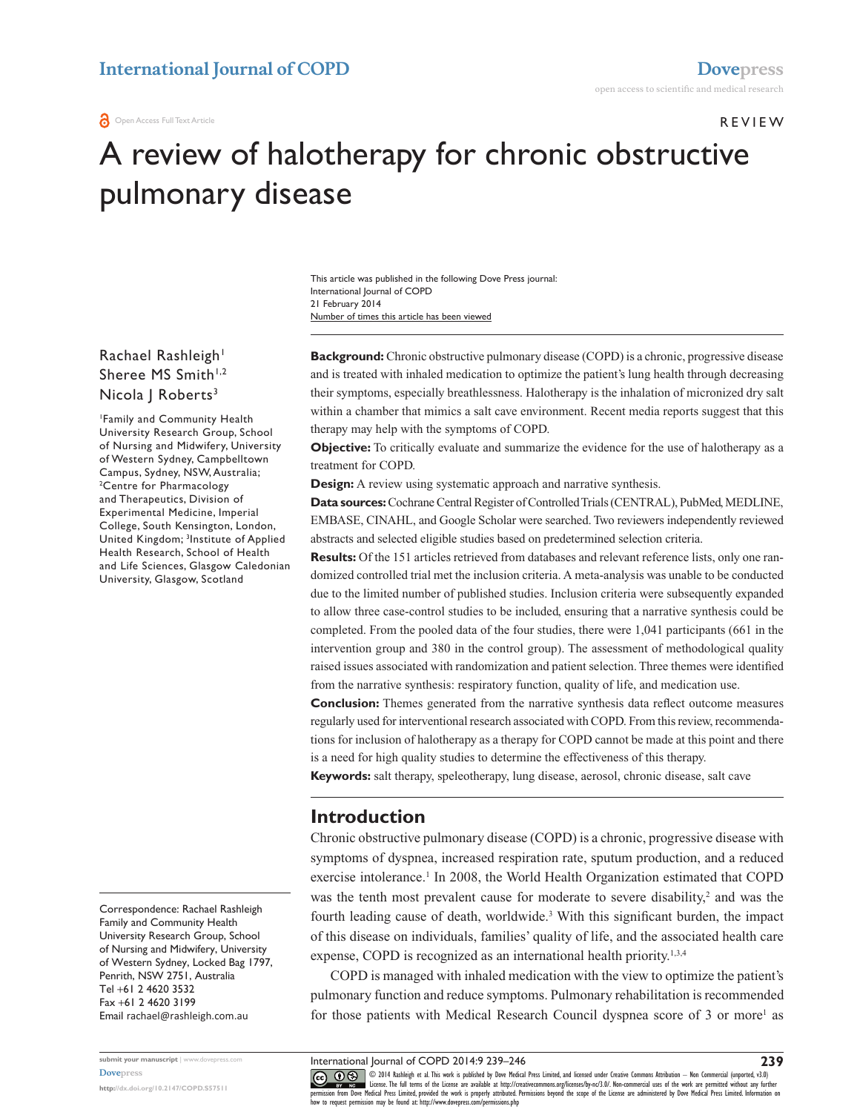#### **REVIEW**

# A review of halotherapy for chronic obstructive pulmonary disease

Number of times this article has been viewed This article was published in the following Dove Press journal: International Journal of COPD 21 February 2014

#### Rachael Rashleigh<sup>1</sup> Sheree MS Smith<sup>1,2</sup> Nicola | Roberts<sup>3</sup>

1 Family and Community Health University Research Group, School of Nursing and Midwifery, University of Western Sydney, Campbelltown Campus, Sydney, NSW, Australia; 2 <sup>2</sup>Centre for Pharmacology and Therapeutics, Division of Experimental Medicine, Imperial College, South Kensington, London, United Kingdom; 3Institute of Applied Health Research, School of Health and Life Sciences, Glasgow Caledonian University, Glasgow, Scotland

Correspondence: Rachael Rashleigh Family and Community Health University Research Group, School of Nursing and Midwifery, University of Western Sydney, Locked Bag 1797, Penrith, NSW 2751, Australia Tel +61 2 4620 3532 Fax +61 2 4620 3199 Email [rachael@rashleigh.com.au](mailto:rachael@rashleigh.com.au)

**submit your manuscript** | <www.dovepress.com> **[Dovepress](www.dovepress.com)**

**<http://dx.doi.org/10.2147/COPD.S57511>**

**Background:** Chronic obstructive pulmonary disease (COPD) is a chronic, progressive disease and is treated with inhaled medication to optimize the patient's lung health through decreasing their symptoms, especially breathlessness. Halotherapy is the inhalation of micronized dry salt within a chamber that mimics a salt cave environment. Recent media reports suggest that this therapy may help with the symptoms of COPD.

**Objective:** To critically evaluate and summarize the evidence for the use of halotherapy as a treatment for COPD.

**Design:** A review using systematic approach and narrative synthesis.

**Data sources:** Cochrane Central Register of Controlled Trials (CENTRAL), PubMed, MEDLINE, EMBASE, CINAHL, and Google Scholar were searched. Two reviewers independently reviewed abstracts and selected eligible studies based on predetermined selection criteria.

**Results:** Of the 151 articles retrieved from databases and relevant reference lists, only one randomized controlled trial met the inclusion criteria. A meta-analysis was unable to be conducted due to the limited number of published studies. Inclusion criteria were subsequently expanded to allow three case-control studies to be included, ensuring that a narrative synthesis could be completed. From the pooled data of the four studies, there were 1,041 participants (661 in the intervention group and 380 in the control group). The assessment of methodological quality raised issues associated with randomization and patient selection. Three themes were identified from the narrative synthesis: respiratory function, quality of life, and medication use.

**Conclusion:** Themes generated from the narrative synthesis data reflect outcome measures regularly used for interventional research associated with COPD. From this review, recommendations for inclusion of halotherapy as a therapy for COPD cannot be made at this point and there is a need for high quality studies to determine the effectiveness of this therapy.

**Keywords:** salt therapy, speleotherapy, lung disease, aerosol, chronic disease, salt cave

#### **Introduction**

Chronic obstructive pulmonary disease (COPD) is a chronic, progressive disease with symptoms of dyspnea, increased respiration rate, sputum production, and a reduced exercise intolerance.<sup>1</sup> In 2008, the World Health Organization estimated that COPD was the tenth most prevalent cause for moderate to severe disability, $2$  and was the fourth leading cause of death, worldwide.<sup>3</sup> With this significant burden, the impact of this disease on individuals, families' quality of life, and the associated health care expense, COPD is recognized as an international health priority.<sup>1,3,4</sup>

COPD is managed with inhaled medication with the view to optimize the patient's pulmonary function and reduce symptoms. Pulmonary rehabilitation is recommended for those patients with Medical Research Council dyspnea score of 3 or more<sup>1</sup> as

International Journal of COPD 2014:9 239–246

CO ODI 4 Rashleigh et al. This work is published by Dove Medical Press Limited, and licensed under Creative Commons Attribution - Non Commercial (unported, v3.0)<br> [permission from Dove M](http://www.dovepress.com/permissions.php)edical Press Limited, provided the wo how to request permission may be found at: http://www.dovepress.com/permissions.php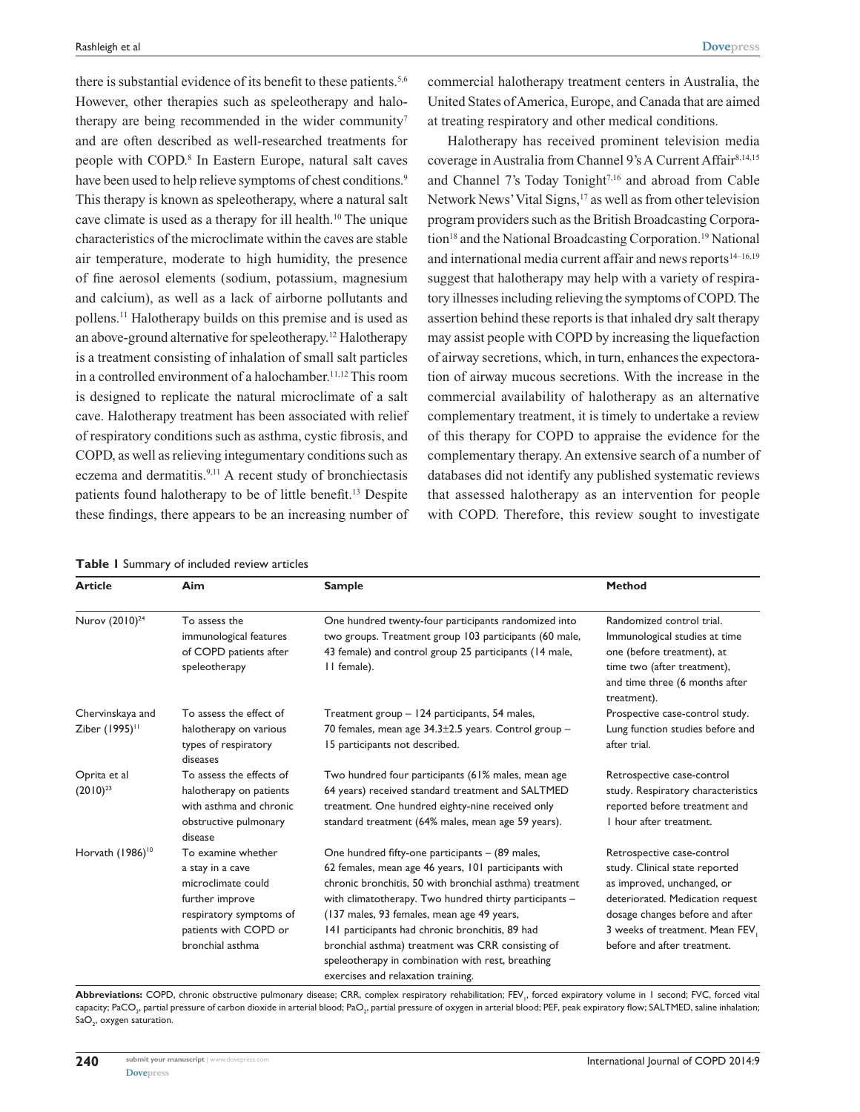there is substantial evidence of its benefit to these patients.<sup>5,6</sup> However, other therapies such as speleotherapy and halotherapy are being recommended in the wider community<sup>7</sup> and are often described as well-researched treatments for people with COPD.<sup>8</sup> In Eastern Europe, natural salt caves have been used to help relieve symptoms of chest conditions.<sup>9</sup> This therapy is known as speleotherapy, where a natural salt cave climate is used as a therapy for ill health.<sup>10</sup> The unique characteristics of the microclimate within the caves are stable air temperature, moderate to high humidity, the presence of fine aerosol elements (sodium, potassium, magnesium and calcium), as well as a lack of airborne pollutants and pollens.11 Halotherapy builds on this premise and is used as an above-ground alternative for speleotherapy.12 Halotherapy is a treatment consisting of inhalation of small salt particles in a controlled environment of a halochamber.<sup>11,12</sup> This room is designed to replicate the natural microclimate of a salt cave. Halotherapy treatment has been associated with relief of respiratory conditions such as asthma, cystic fibrosis, and COPD, as well as relieving integumentary conditions such as eczema and dermatitis.<sup>9,11</sup> A recent study of bronchiectasis patients found halotherapy to be of little benefit.<sup>13</sup> Despite these findings, there appears to be an increasing number of

commercial halotherapy treatment centers in Australia, the United States of America, Europe, and Canada that are aimed at treating respiratory and other medical conditions.

Halotherapy has received prominent television media coverage in Australia from Channel 9's A Current Affair<sup>8,14,15</sup> and Channel 7's Today Tonight<sup>7,16</sup> and abroad from Cable Network News' Vital Signs,<sup>17</sup> as well as from other television program providers such as the British Broadcasting Corporation<sup>18</sup> and the National Broadcasting Corporation.<sup>19</sup> National and international media current affair and news reports $14-16,19$ suggest that halotherapy may help with a variety of respiratory illnesses including relieving the symptoms of COPD. The assertion behind these reports is that inhaled dry salt therapy may assist people with COPD by increasing the liquefaction of airway secretions, which, in turn, enhances the expectoration of airway mucous secretions. With the increase in the commercial availability of halotherapy as an alternative complementary treatment, it is timely to undertake a review of this therapy for COPD to appraise the evidence for the complementary therapy. An extensive search of a number of databases did not identify any published systematic reviews that assessed halotherapy as an intervention for people with COPD. Therefore, this review sought to investigate

|  | Table I Summary of included review articles |  |  |  |  |
|--|---------------------------------------------|--|--|--|--|
|--|---------------------------------------------|--|--|--|--|

 $\bm{\mathsf{Article}}$  Aim Sample Method Nurov  $(2010)^{24}$  To assess the immunological features of COPD patients after speleotherapy One hundred twenty-four participants randomized into two groups. Treatment group 103 participants (60 male, 43 female) and control group 25 participants (14 male, 11 female). Randomized control trial. Immunological studies at time one (before treatment), at time two (after treatment), and time three (6 months after treatment). Chervinskaya and Ziber  $(1995)^{11}$ To assess the effect of halotherapy on various types of respiratory diseases Treatment group – 124 participants, 54 males, 70 females, mean age 34.3±2.5 years. Control group – 15 participants not described. Prospective case-control study. Lung function studies before and after trial. Oprita et al  $(2010)^{23}$ To assess the effects of halotherapy on patients with asthma and chronic obstructive pulmonary disease Two hundred four participants (61% males, mean age 64 years) received standard treatment and SALTMED treatment. One hundred eighty-nine received only standard treatment (64% males, mean age 59 years). Retrospective case-control study. Respiratory characteristics reported before treatment and 1 hour after treatment. Horvath (1986)<sup>10</sup> To examine whether a stay in a cave microclimate could further improve respiratory symptoms of patients with COPD or bronchial asthma One hundred fifty-one participants – (89 males, 62 females, mean age 46 years, 101 participants with chronic bronchitis, 50 with bronchial asthma) treatment with climatotherapy. Two hundred thirty participants – (137 males, 93 females, mean age 49 years, 141 participants had chronic bronchitis, 89 had bronchial asthma) treatment was CRR consisting of speleotherapy in combination with rest, breathing exercises and relaxation training. Retrospective case-control study. Clinical state reported as improved, unchanged, or deteriorated. Medication request dosage changes before and after 3 weeks of treatment. Mean FEV. before and after treatment.

**Abbreviations:** COPD, chronic obstructive pulmonary disease; CRR, complex respiratory rehabilitation; FEV<sub>1</sub>, forced expiratory volume in 1 second; FVC, forced vital capacity; PaCO<sub>2</sub>, partial pressure of carbon dioxide in arterial blood; PaO<sub>2</sub>, partial pressure of oxygen in arterial blood; PEF, peak expiratory flow; SALTMED, saline inhalation; Sa $\mathrm{O}_{\mathrm{2^{\prime}}}$  oxygen saturation.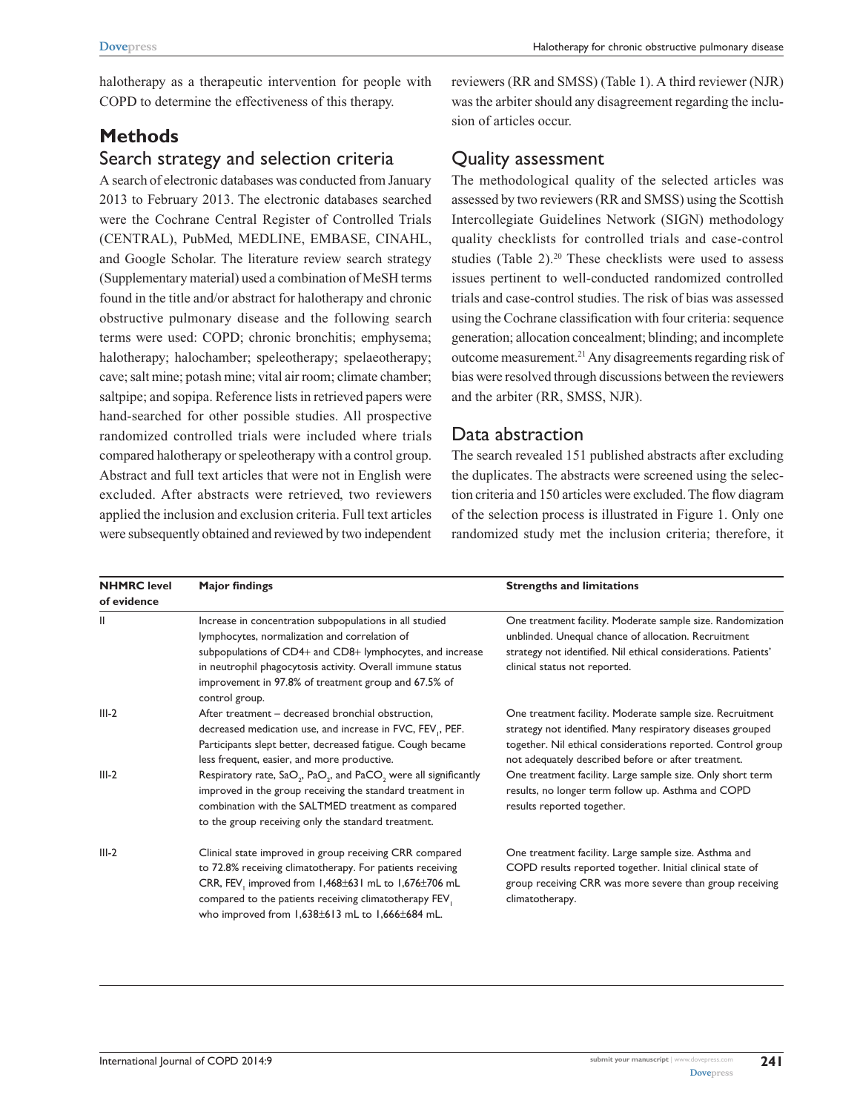halotherapy as a therapeutic intervention for people with COPD to determine the effectiveness of this therapy.

# **Methods**

#### Search strategy and selection criteria

A search of electronic databases was conducted from January 2013 to February 2013. The electronic databases searched were the Cochrane Central Register of Controlled Trials (CENTRAL), PubMed, MEDLINE, EMBASE, CINAHL, and Google Scholar. The literature review search strategy (Supplementary material) used a combination of MeSH terms found in the title and/or abstract for halotherapy and chronic obstructive pulmonary disease and the following search terms were used: COPD; chronic bronchitis; emphysema; halotherapy; halochamber; speleotherapy; spelaeotherapy; cave; salt mine; potash mine; vital air room; climate chamber; saltpipe; and sopipa. Reference lists in retrieved papers were hand-searched for other possible studies. All prospective randomized controlled trials were included where trials compared halotherapy or speleotherapy with a control group. Abstract and full text articles that were not in English were excluded. After abstracts were retrieved, two reviewers applied the inclusion and exclusion criteria. Full text articles were subsequently obtained and reviewed by two independent reviewers (RR and SMSS) (Table 1). A third reviewer (NJR) was the arbiter should any disagreement regarding the inclusion of articles occur.

## Quality assessment

The methodological quality of the selected articles was assessed by two reviewers (RR and SMSS) using the Scottish Intercollegiate Guidelines Network (SIGN) methodology quality checklists for controlled trials and case-control studies (Table 2).<sup>20</sup> These checklists were used to assess issues pertinent to well-conducted randomized controlled trials and case-control studies. The risk of bias was assessed using the Cochrane classification with four criteria: sequence generation; allocation concealment; blinding; and incomplete outcome measurement.21 Any disagreements regarding risk of bias were resolved through discussions between the reviewers and the arbiter (RR, SMSS, NJR).

### Data abstraction

The search revealed 151 published abstracts after excluding the duplicates. The abstracts were screened using the selection criteria and 150 articles were excluded. The flow diagram of the selection process is illustrated in Figure 1. Only one randomized study met the inclusion criteria; therefore, it

| <b>NHMRC</b> level<br>of evidence | <b>Major findings</b>                                                                                                                                                                                                                                                                                         | <b>Strengths and limitations</b>                                                                                                                                                                                                               |
|-----------------------------------|---------------------------------------------------------------------------------------------------------------------------------------------------------------------------------------------------------------------------------------------------------------------------------------------------------------|------------------------------------------------------------------------------------------------------------------------------------------------------------------------------------------------------------------------------------------------|
|                                   | Increase in concentration subpopulations in all studied<br>lymphocytes, normalization and correlation of<br>subpopulations of CD4+ and CD8+ lymphocytes, and increase<br>in neutrophil phagocytosis activity. Overall immune status<br>improvement in 97.8% of treatment group and 67.5% of<br>control group. | One treatment facility. Moderate sample size. Randomization<br>unblinded. Unequal chance of allocation. Recruitment<br>strategy not identified. Nil ethical considerations. Patients'<br>clinical status not reported.                         |
| $III-2$                           | After treatment - decreased bronchial obstruction,<br>decreased medication use, and increase in FVC, FEV, PEF.<br>Participants slept better, decreased fatigue. Cough became<br>less frequent, easier, and more productive.                                                                                   | One treatment facility. Moderate sample size. Recruitment<br>strategy not identified. Many respiratory diseases grouped<br>together. Nil ethical considerations reported. Control group<br>not adequately described before or after treatment. |
| $III-2$                           | Respiratory rate, SaO <sub>2</sub> , PaO <sub>2</sub> , and PaCO <sub>2</sub> were all significantly<br>improved in the group receiving the standard treatment in<br>combination with the SALTMED treatment as compared<br>to the group receiving only the standard treatment.                                | One treatment facility. Large sample size. Only short term<br>results, no longer term follow up. Asthma and COPD<br>results reported together.                                                                                                 |
| $III-2$                           | Clinical state improved in group receiving CRR compared<br>to 72.8% receiving climatotherapy. For patients receiving<br>CRR, FEV, improved from 1,468±631 mL to 1,676±706 mL<br>compared to the patients receiving climatotherapy FEV.<br>who improved from 1,638±613 mL to 1,666±684 mL.                     | One treatment facility. Large sample size. Asthma and<br>COPD results reported together. Initial clinical state of<br>group receiving CRR was more severe than group receiving<br>climatotherapy.                                              |

**241**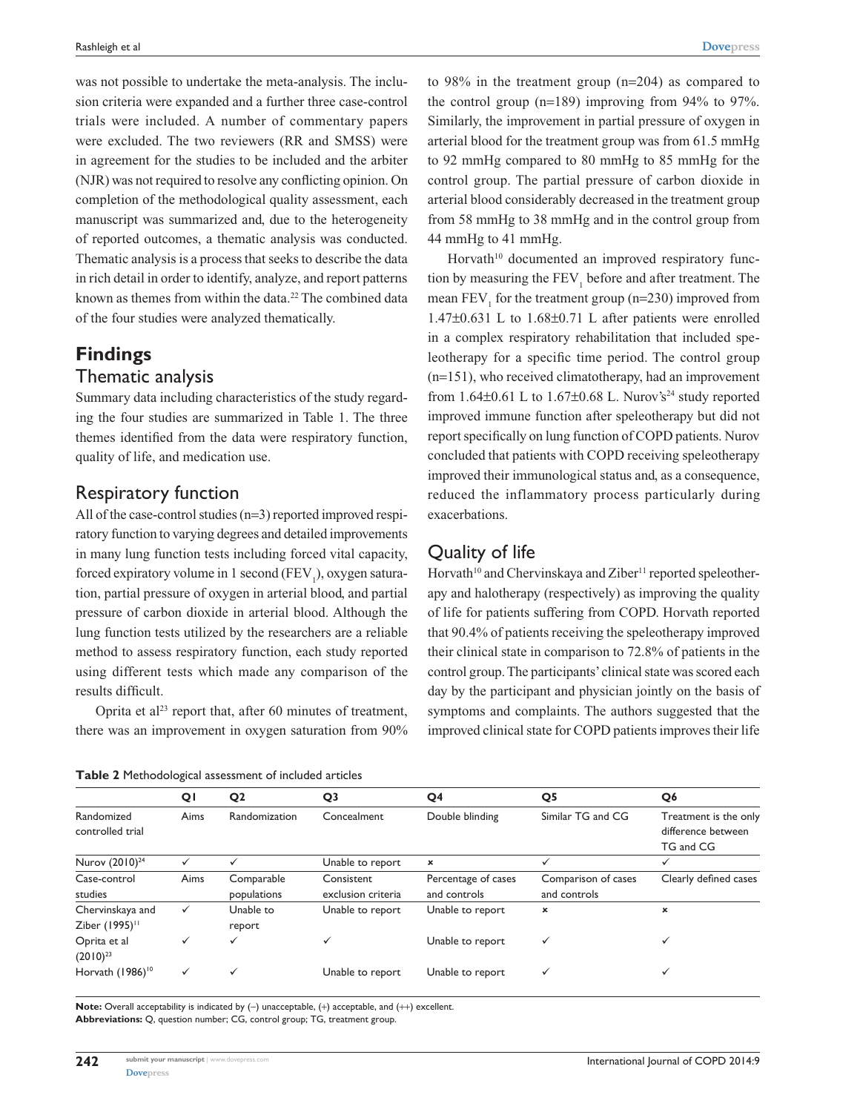was not possible to undertake the meta-analysis. The inclusion criteria were expanded and a further three case-control trials were included. A number of commentary papers were excluded. The two reviewers (RR and SMSS) were in agreement for the studies to be included and the arbiter (NJR) was not required to resolve any conflicting opinion. On completion of the methodological quality assessment, each manuscript was summarized and, due to the heterogeneity of reported outcomes, a thematic analysis was conducted. Thematic analysis is a process that seeks to describe the data in rich detail in order to identify, analyze, and report patterns known as themes from within the data.<sup>22</sup> The combined data of the four studies were analyzed thematically.

## **Findings**

#### Thematic analysis

Summary data including characteristics of the study regarding the four studies are summarized in Table 1. The three themes identified from the data were respiratory function, quality of life, and medication use.

## Respiratory function

All of the case-control studies (n=3) reported improved respiratory function to varying degrees and detailed improvements in many lung function tests including forced vital capacity, forced expiratory volume in 1 second  $(FEV<sub>1</sub>)$ , oxygen saturation, partial pressure of oxygen in arterial blood, and partial pressure of carbon dioxide in arterial blood. Although the lung function tests utilized by the researchers are a reliable method to assess respiratory function, each study reported using different tests which made any comparison of the results difficult.

Oprita et al<sup>23</sup> report that, after 60 minutes of treatment, there was an improvement in oxygen saturation from 90%

**Table 2** Methodological assessment of included articles

to 98% in the treatment group (n=204) as compared to the control group  $(n=189)$  improving from 94% to 97%. Similarly, the improvement in partial pressure of oxygen in arterial blood for the treatment group was from 61.5 mmHg to 92 mmHg compared to 80 mmHg to 85 mmHg for the control group. The partial pressure of carbon dioxide in arterial blood considerably decreased in the treatment group from 58 mmHg to 38 mmHg and in the control group from 44 mmHg to 41 mmHg.

Horvath<sup>10</sup> documented an improved respiratory function by measuring the  $\text{FEV}_1$  before and after treatment. The mean  $FEV_1$  for the treatment group (n=230) improved from 1.47±0.631 L to 1.68±0.71 L after patients were enrolled in a complex respiratory rehabilitation that included speleotherapy for a specific time period. The control group (n=151), who received climatotherapy, had an improvement from 1.64 $\pm$ 0.61 L to 1.67 $\pm$ 0.68 L. Nurov's<sup>24</sup> study reported improved immune function after speleotherapy but did not report specifically on lung function of COPD patients. Nurov concluded that patients with COPD receiving speleotherapy improved their immunological status and, as a consequence, reduced the inflammatory process particularly during exacerbations.

## Quality of life

Horvath<sup>10</sup> and Chervinskaya and Ziber<sup>11</sup> reported speleotherapy and halotherapy (respectively) as improving the quality of life for patients suffering from COPD. Horvath reported that 90.4% of patients receiving the speleotherapy improved their clinical state in comparison to 72.8% of patients in the control group. The participants' clinical state was scored each day by the participant and physician jointly on the basis of symptoms and complaints. The authors suggested that the improved clinical state for COPD patients improves their life

| <b>Rable 2</b> Fleurodological assessment of included articles |      |                           |                                  |                                     |                                     |                                                          |
|----------------------------------------------------------------|------|---------------------------|----------------------------------|-------------------------------------|-------------------------------------|----------------------------------------------------------|
|                                                                | QI   | Q <sub>2</sub>            | Q <sub>3</sub>                   | Q4                                  | Q <sub>5</sub>                      | Q <sub>6</sub>                                           |
| Randomized<br>controlled trial                                 | Aims | Randomization             | Concealment                      | Double blinding                     | Similar TG and CG                   | Treatment is the only<br>difference between<br>TG and CG |
| Nurov (2010) <sup>24</sup>                                     |      |                           | Unable to report                 | $\boldsymbol{\mathsf{x}}$           |                                     |                                                          |
| Case-control<br>studies                                        | Aims | Comparable<br>populations | Consistent<br>exclusion criteria | Percentage of cases<br>and controls | Comparison of cases<br>and controls | Clearly defined cases                                    |
| Chervinskaya and<br>Ziber (1995) <sup>11</sup>                 |      | Unable to<br>report       | Unable to report                 | Unable to report                    | $\boldsymbol{\mathsf{x}}$           | $\boldsymbol{\mathsf{x}}$                                |
| Oprita et al<br>$(2010)^{23}$                                  |      |                           |                                  | Unable to report                    |                                     |                                                          |
| Horvath (1986) <sup>10</sup>                                   |      | $\checkmark$              | Unable to report                 | Unable to report                    |                                     |                                                          |

**Note:** Overall acceptability is indicated by (-) unacceptable, (+) acceptable, and (++) excellent. **Abbreviations:** Q, question number; CG, control group; TG, treatment group.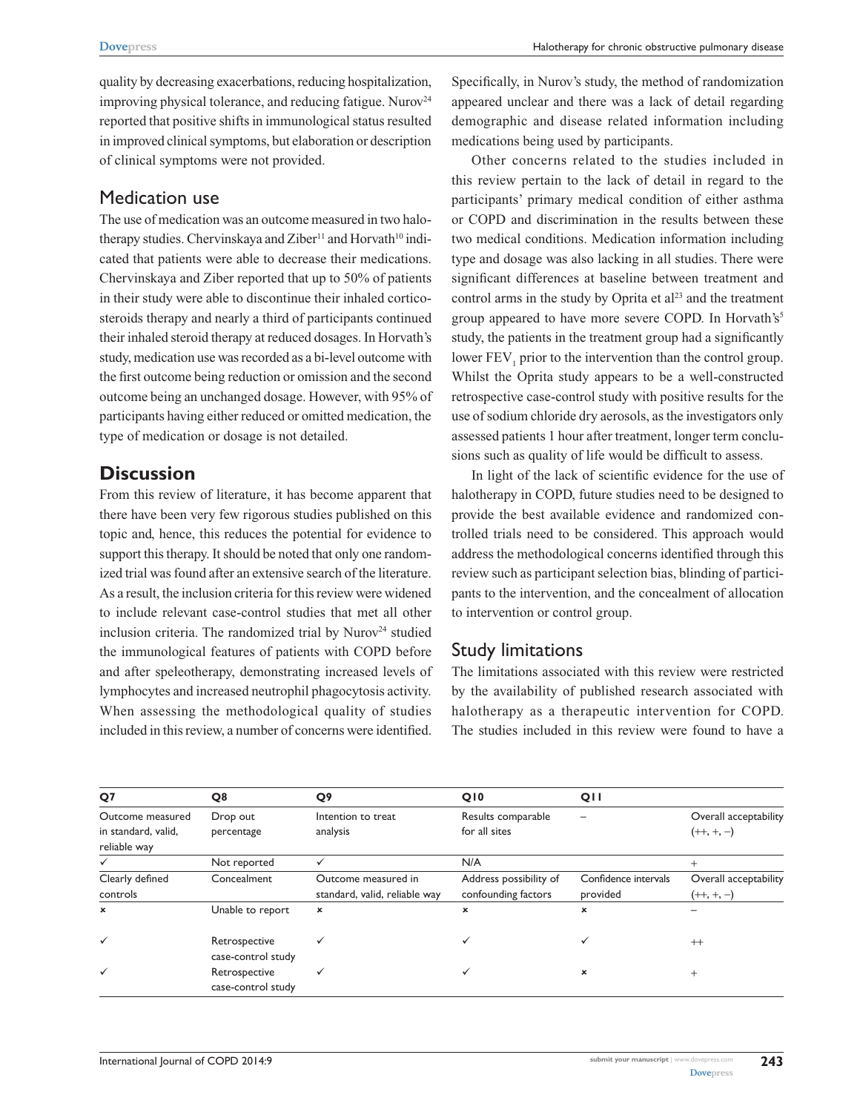quality by decreasing exacerbations, reducing hospitalization, improving physical tolerance, and reducing fatigue. Nurov $24$ reported that positive shifts in immunological status resulted in improved clinical symptoms, but elaboration or description of clinical symptoms were not provided.

#### Medication use

The use of medication was an outcome measured in two halotherapy studies. Chervinskaya and Ziber<sup>11</sup> and Horvath<sup>10</sup> indicated that patients were able to decrease their medications. Chervinskaya and Ziber reported that up to 50% of patients in their study were able to discontinue their inhaled corticosteroids therapy and nearly a third of participants continued their inhaled steroid therapy at reduced dosages. In Horvath's study, medication use was recorded as a bi-level outcome with the first outcome being reduction or omission and the second outcome being an unchanged dosage. However, with 95% of participants having either reduced or omitted medication, the type of medication or dosage is not detailed.

## **Discussion**

From this review of literature, it has become apparent that there have been very few rigorous studies published on this topic and, hence, this reduces the potential for evidence to support this therapy. It should be noted that only one randomized trial was found after an extensive search of the literature. As a result, the inclusion criteria for this review were widened to include relevant case-control studies that met all other inclusion criteria. The randomized trial by Nurov<sup>24</sup> studied the immunological features of patients with COPD before and after speleotherapy, demonstrating increased levels of lymphocytes and increased neutrophil phagocytosis activity. When assessing the methodological quality of studies included in this review, a number of concerns were identified.

Specifically, in Nurov's study, the method of randomization appeared unclear and there was a lack of detail regarding demographic and disease related information including medications being used by participants.

Other concerns related to the studies included in this review pertain to the lack of detail in regard to the participants' primary medical condition of either asthma or COPD and discrimination in the results between these two medical conditions. Medication information including type and dosage was also lacking in all studies. There were significant differences at baseline between treatment and control arms in the study by Oprita et  $al<sup>23</sup>$  and the treatment group appeared to have more severe COPD. In Horvath's<sup>5</sup> study, the patients in the treatment group had a significantly lower  $FEV<sub>1</sub>$  prior to the intervention than the control group. Whilst the Oprita study appears to be a well-constructed retrospective case-control study with positive results for the use of sodium chloride dry aerosols, as the investigators only assessed patients 1 hour after treatment, longer term conclusions such as quality of life would be difficult to assess.

In light of the lack of scientific evidence for the use of halotherapy in COPD, future studies need to be designed to provide the best available evidence and randomized controlled trials need to be considered. This approach would address the methodological concerns identified through this review such as participant selection bias, blinding of participants to the intervention, and the concealment of allocation to intervention or control group.

#### Study limitations

The limitations associated with this review were restricted by the availability of published research associated with halotherapy as a therapeutic intervention for COPD. The studies included in this review were found to have a

| QII                                               | Q10                    | Q9                            | Q8                 | Q7                  |
|---------------------------------------------------|------------------------|-------------------------------|--------------------|---------------------|
| Overall acceptability<br>$\overline{\phantom{a}}$ | Results comparable     | Intention to treat            | Drop out           | Outcome measured    |
| $(++, +, -)$                                      | for all sites          | analysis                      | percentage         | in standard, valid, |
|                                                   |                        |                               |                    | reliable way        |
|                                                   | N/A                    |                               | Not reported       |                     |
| Overall acceptability<br>Confidence intervals     | Address possibility of | Outcome measured in           | Concealment        | Clearly defined     |
| provided<br>$(++, +, -)$                          | confounding factors    | standard, valid, reliable way |                    | controls            |
| $\overline{\phantom{0}}$                          |                        | $\mathbf{x}$                  | Unable to report   |                     |
| $^{++}$                                           |                        | $\overline{\phantom{a}}$      | Retrospective      |                     |
|                                                   |                        |                               | case-control study |                     |
|                                                   |                        |                               | Retrospective      |                     |
|                                                   |                        |                               | case-control study |                     |

**243**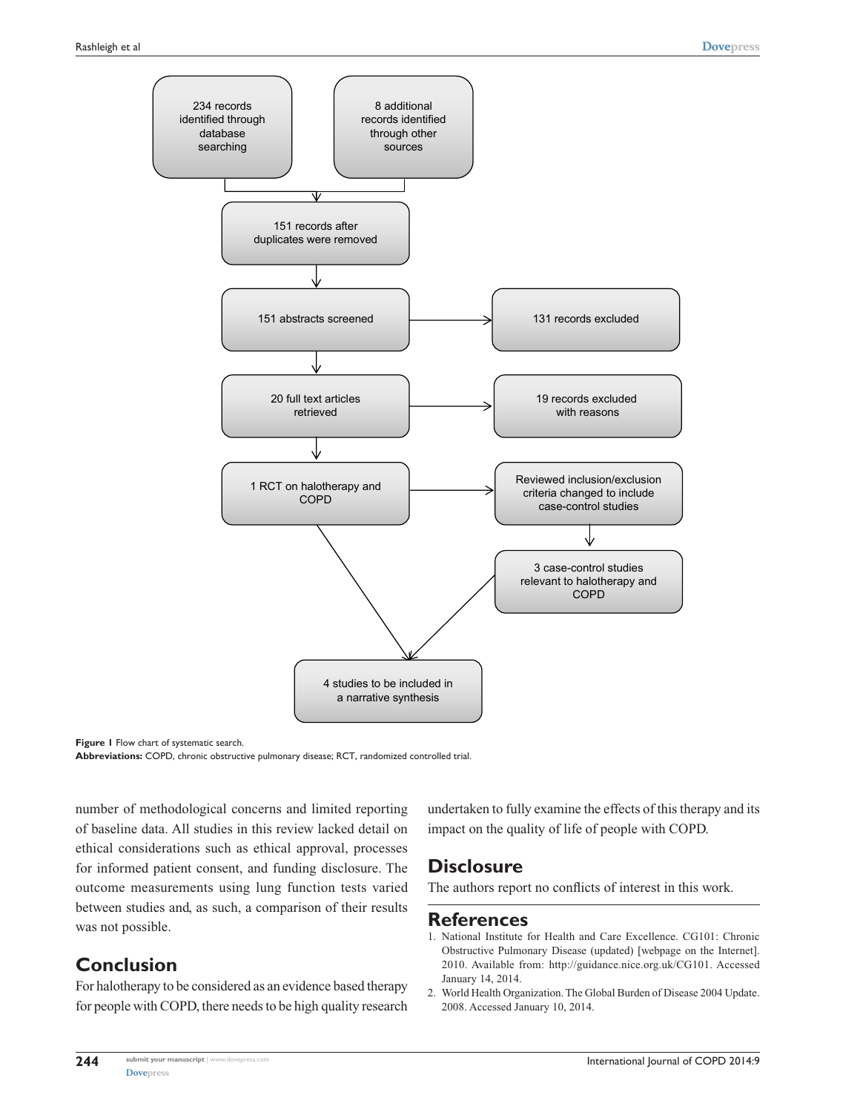

**Figure 1** Flow chart of systematic search. **Abbreviations:** COPD, chronic obstructive pulmonary disease; RCT, randomized controlled trial.

number of methodological concerns and limited reporting of baseline data. All studies in this review lacked detail on ethical considerations such as ethical approval, processes for informed patient consent, and funding disclosure. The outcome measurements using lung function tests varied between studies and, as such, a comparison of their results was not possible.

# **Conclusion**

For halotherapy to be considered as an evidence based therapy for people with COPD, there needs to be high quality research undertaken to fully examine the effects of this therapy and its impact on the quality of life of people with COPD.

## **Disclosure**

The authors report no conflicts of interest in this work.

#### **References**

- 1. National Institute for Health and Care Excellence. CG101: Chronic Obstructive Pulmonary Disease (updated) [webpage on the Internet]. 2010. Available from: <http://guidance.nice.org.uk/CG101>. Accessed January 14, 2014.
- 2. World Health Organization. The Global Burden of Disease 2004 Update. 2008. Accessed January 10, 2014.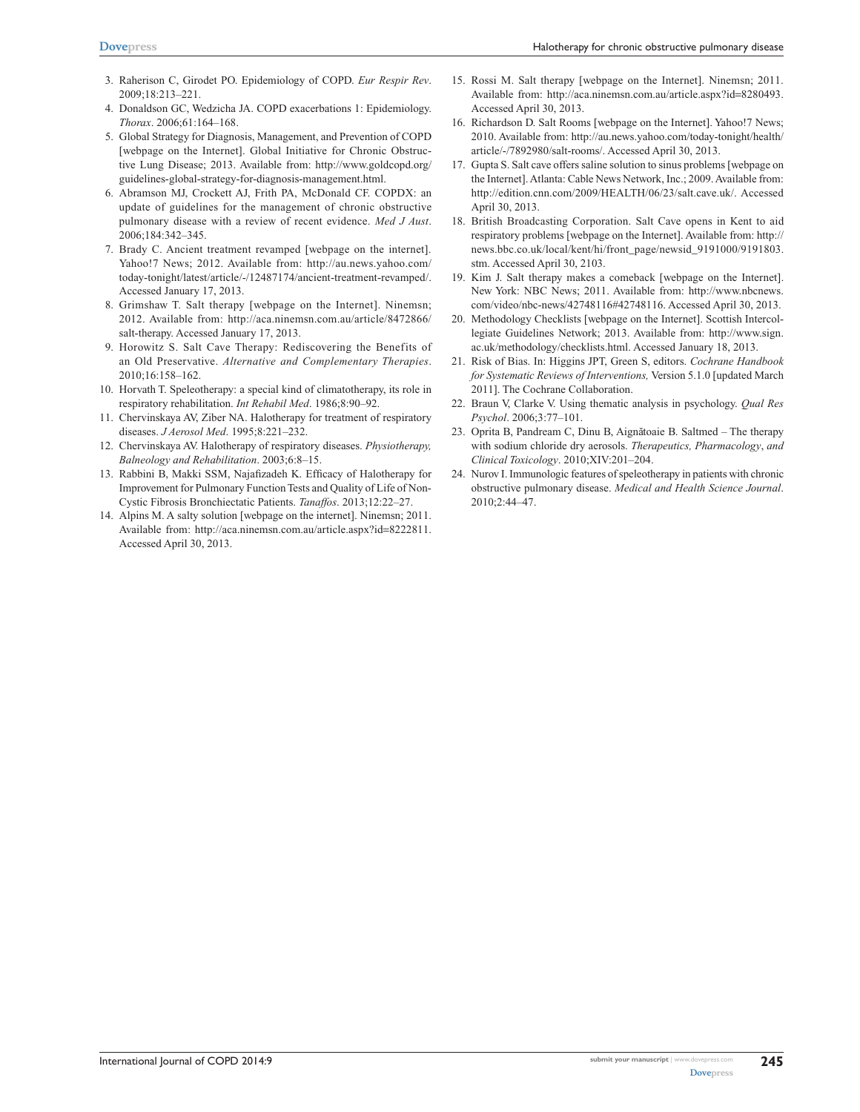- 3. Raherison C, Girodet PO. Epidemiology of COPD. *Eur Respir Rev*. 2009;18:213–221.
- 4. Donaldson GC, Wedzicha JA. COPD exacerbations 1: Epidemiology. *Thorax*. 2006;61:164–168.
- 5. Global Strategy for Diagnosis, Management, and Prevention of COPD [webpage on the Internet]. Global Initiative for Chronic Obstructive Lung Disease; 2013. Available from: [http://www.goldcopd.org/](http://www.goldcopd.org/guidelines-global-strategy-for-diagnosis-management.html) [guidelines-global-strategy-for-diagnosis-management.html](http://www.goldcopd.org/guidelines-global-strategy-for-diagnosis-management.html).
- 6. Abramson MJ, Crockett AJ, Frith PA, McDonald CF. COPDX: an update of guidelines for the management of chronic obstructive pulmonary disease with a review of recent evidence. *Med J Aust*. 2006;184:342–345.
- 7. Brady C. Ancient treatment revamped [webpage on the internet]. Yahoo!7 News; 2012. Available from: [http://au.news.yahoo.com/](http://au.news.yahoo.com/today-tonight/latest/article/-/12487174/ancient-treatment-revamped/) [today-tonight/latest/article/-/12487174/ancient-treatment-revamped/](http://au.news.yahoo.com/today-tonight/latest/article/-/12487174/ancient-treatment-revamped/). Accessed January 17, 2013.
- 8. Grimshaw T. Salt therapy [webpage on the Internet]. Ninemsn; 2012. Available from: [http://aca.ninemsn.com.au/article/8472866/](http://aca.ninemsn.com.au/article/8472866/salt-therapy) [salt-therapy.](http://aca.ninemsn.com.au/article/8472866/salt-therapy) Accessed January 17, 2013.
- 9. Horowitz S. Salt Cave Therapy: Rediscovering the Benefits of an Old Preservative. *Alternative and Complementary Therapies*.  $2010:16:158-162$ .
- 10. Horvath T. Speleotherapy: a special kind of climatotherapy, its role in respiratory rehabilitation. *Int Rehabil Med*. 1986;8:90–92.
- 11. Chervinskaya AV, Ziber NA. Halotherapy for treatment of respiratory diseases. *J Aerosol Med*. 1995;8:221–232.
- 12. Chervinskaya AV. Halotherapy of respiratory diseases. *Physiotherapy, Balneology and Rehabilitation*. 2003;6:8–15.
- 13. Rabbini B, Makki SSM, Najafizadeh K. Efficacy of Halotherapy for Improvement for Pulmonary Function Tests and Quality of Life of Non-Cystic Fibrosis Bronchiectatic Patients. *Tanaffos*. 2013;12:22–27.
- 14. Alpins M. A salty solution [webpage on the internet]. Ninemsn; 2011. Available from: [http://aca.ninemsn.com.au/article.aspx?id](http://aca.ninemsn.com.au/article.aspx?id=8222811)=8222811. Accessed April 30, 2013.
- 15. Rossi M. Salt therapy [webpage on the Internet]. Ninemsn; 2011. Available from: http://aca.ninemsn.com.au/article.aspx?id=8280493. Accessed April 30, 2013.
- 16. Richardson D. Salt Rooms [webpage on the Internet]. Yahoo!7 News; 2010. Available from: [http://au.news.yahoo.com/today-tonight/health/](http://au.news.yahoo.com/today-tonight/health/article/-/7892980/salt-rooms/) [article/-/7892980/salt-rooms/](http://au.news.yahoo.com/today-tonight/health/article/-/7892980/salt-rooms/). Accessed April 30, 2013.
- 17. Gupta S. Salt cave offers saline solution to sinus problems [webpage on the Internet]. Atlanta: Cable News Network, Inc.; 2009. Available from: http://edition.cnn.com/2009/HEALTH/06/23/salt.cave.uk/. Accessed April 30, 2013.
- 18. British Broadcasting Corporation. Salt Cave opens in Kent to aid respiratory problems [webpage on the Internet]. Available from: [http://](http://news.bbc.co.uk/local/kent/hi/front_page/newsid_9191000/9191803.stm) [news.bbc.co.uk/local/kent/hi/front\\_page/newsid\\_9191000/9191803.](http://news.bbc.co.uk/local/kent/hi/front_page/newsid_9191000/9191803.stm) [stm](http://news.bbc.co.uk/local/kent/hi/front_page/newsid_9191000/9191803.stm). Accessed April 30, 2103.
- 19. Kim J. Salt therapy makes a comeback [webpage on the Internet]. New York: NBC News; 2011. Available from: [http://www.nbcnews.](http://www.nbcnews.com/video/nbc-news/42748116#42748116) [com/video/nbc-news/42748116#42748116](http://www.nbcnews.com/video/nbc-news/42748116#42748116). Accessed April 30, 2013.
- 20. Methodology Checklists [webpage on the Internet]. Scottish Intercollegiate Guidelines Network; 2013. Available from: [http://www.sign.](http://www.sign.ac.uk/methodology/checklists.html) [ac.uk/methodology/checklists.html](http://www.sign.ac.uk/methodology/checklists.html). Accessed January 18, 2013.
- 21. Risk of Bias. In: Higgins JPT, Green S, editors. *Cochrane Handbook for Systematic Reviews of Interventions,* Version 5.1.0 [updated March 2011]. The Cochrane Collaboration.
- 22. Braun V, Clarke V. Using thematic analysis in psychology. *Qual Res Psychol*. 2006;3:77–101.
- 23. Oprita B, Pandream C, Dinu B, Aignătoaie B. Saltmed The therapy with sodium chloride dry aerosols. *Therapeutics, Pharmacology*, *and Clinical Toxicology*. 2010;XIV:201–204.
- 24. Nurov I. Immunologic features of speleotherapy in patients with chronic obstructive pulmonary disease. *Medical and Health Science Journal*. 2010;2:44–47.

**245**